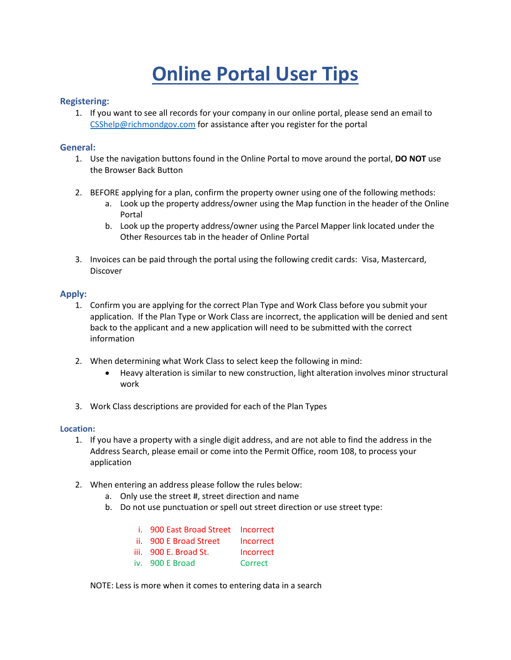# **Online Portal User Tips**

#### **Registering:**

1. If you want to see all records for your company in our online portal, please send an email to [CSShelp@richmondgov.com](mailto:CSShelp@richmondgov.com) for assistance after you register for the portal

#### **General:**

- 1. Use the navigation buttons found in the Online Portal to move around the portal, **DO NOT** use the Browser Back Button
- 2. BEFORE applying for a plan, confirm the property owner using one of the following methods:
	- a. Look up the property address/owner using the Map function in the header of the Online Portal
	- b. Look up the property address/owner using the Parcel Mapper link located under the Other Resources tab in the header of Online Portal
- 3. Invoices can be paid through the portal using the following credit cards: Visa, Mastercard, Discover

#### **Apply:**

- 1. Confirm you are applying for the correct Plan Type and Work Class before you submit your application. If the Plan Type or Work Class are incorrect, the application will be denied and sent back to the applicant and a new application will need to be submitted with the correct information
- 2. When determining what Work Class to select keep the following in mind:
	- Heavy alteration is similar to new construction, light alteration involves minor structural work
- 3. Work Class descriptions are provided for each of the Plan Types

#### **Location:**

- 1. If you have a property with a single digit address, and are not able to find the address in the Address Search, please email or come into the Permit Office, room 108, to process your application
- 2. When entering an address please follow the rules below:
	- a. Only use the street #, street direction and name
	- b. Do not use punctuation or spell out street direction or use street type:

| i. 900 East Broad Street | Incorrect |
|--------------------------|-----------|
| ii. 900 E Broad Street   | Incorrect |
| iii. 900 E. Broad St.    | Incorrect |
| iv. 900 E Broad          | Correct   |

NOTE: Less is more when it comes to entering data in a search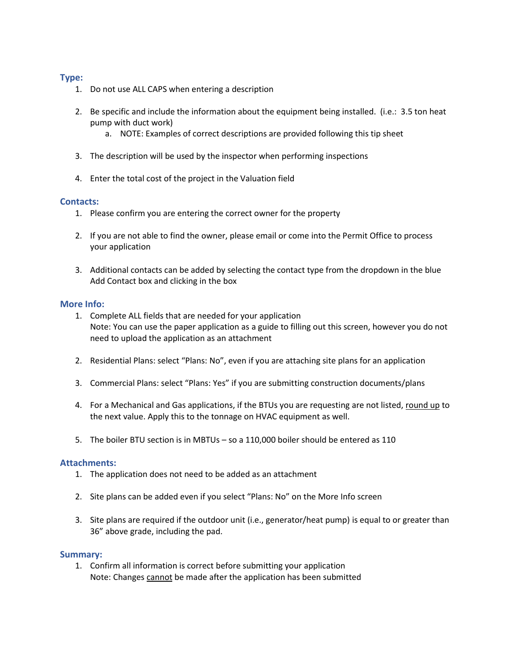#### **Type:**

- 1. Do not use ALL CAPS when entering a description
- 2. Be specific and include the information about the equipment being installed. (i.e.: 3.5 ton heat pump with duct work)
	- a. NOTE: Examples of correct descriptions are provided following this tip sheet
- 3. The description will be used by the inspector when performing inspections
- 4. Enter the total cost of the project in the Valuation field

#### **Contacts:**

- 1. Please confirm you are entering the correct owner for the property
- 2. If you are not able to find the owner, please email or come into the Permit Office to process your application
- 3. Additional contacts can be added by selecting the contact type from the dropdown in the blue Add Contact box and clicking in the box

#### **More Info:**

- 1. Complete ALL fields that are needed for your application Note: You can use the paper application as a guide to filling out this screen, however you do not need to upload the application as an attachment
- 2. Residential Plans: select "Plans: No", even if you are attaching site plans for an application
- 3. Commercial Plans: select "Plans: Yes" if you are submitting construction documents/plans
- 4. For a Mechanical and Gas applications, if the BTUs you are requesting are not listed, round up to the next value. Apply this to the tonnage on HVAC equipment as well.
- 5. The boiler BTU section is in MBTUs so a 110,000 boiler should be entered as 110

#### **Attachments:**

- 1. The application does not need to be added as an attachment
- 2. Site plans can be added even if you select "Plans: No" on the More Info screen
- 3. Site plans are required if the outdoor unit (i.e., generator/heat pump) is equal to or greater than 36" above grade, including the pad.

#### **Summary:**

1. Confirm all information is correct before submitting your application Note: Changes cannot be made after the application has been submitted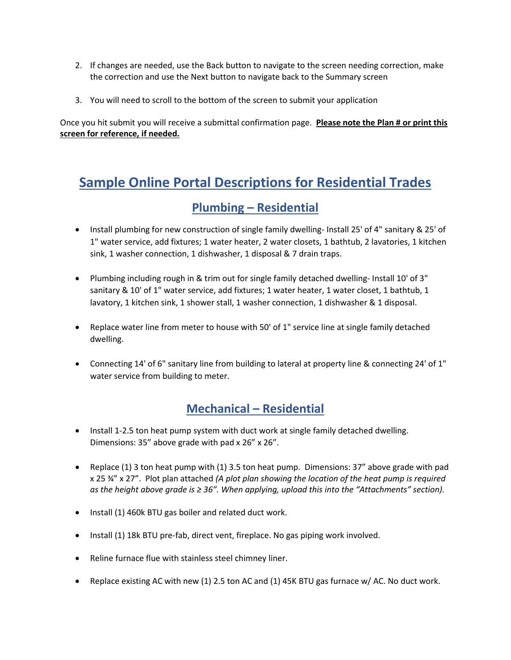- 2. If changes are needed, use the Back button to navigate to the screen needing correction, make the correction and use the Next button to navigate back to the Summary screen
- 3. You will need to scroll to the bottom of the screen to submit your application

Once you hit submit you will receive a submittal confirmation page. **Please note the Plan # or print this screen for reference, if needed.** 

# **Sample Online Portal Descriptions for Residential Trades**

## **Plumbing – Residential**

- Install plumbing for new construction of single family dwelling-Install 25' of 4" sanitary & 25' of 1" water service, add fixtures; 1 water heater, 2 water closets, 1 bathtub, 2 lavatories, 1 kitchen sink, 1 washer connection, 1 dishwasher, 1 disposal & 7 drain traps.
- Plumbing including rough in & trim out for single family detached dwelling- Install 10' of 3" sanitary & 10' of 1" water service, add fixtures; 1 water heater, 1 water closet, 1 bathtub, 1 lavatory, 1 kitchen sink, 1 shower stall, 1 washer connection, 1 dishwasher & 1 disposal.
- Replace water line from meter to house with 50' of 1" service line at single family detached dwelling.
- Connecting 14' of 6" sanitary line from building to lateral at property line & connecting 24' of 1" water service from building to meter.

# **Mechanical – Residential**

- Install 1-2.5 ton heat pump system with duct work at single family detached dwelling. Dimensions: 35" above grade with pad x 26" x 26".
- Replace (1) 3 ton heat pump with (1) 3.5 ton heat pump. Dimensions: 37" above grade with pad x 25 ¾" x 27". Plot plan attached *(A plot plan showing the location of the heat pump is required as the height above grade is ≥ 36". When applying, upload this into the "Attachments" section).*
- Install (1) 460k BTU gas boiler and related duct work.
- Install (1) 18k BTU pre-fab, direct vent, fireplace. No gas piping work involved.
- Reline furnace flue with stainless steel chimney liner.
- Replace existing AC with new (1) 2.5 ton AC and (1) 45K BTU gas furnace w/ AC. No duct work.